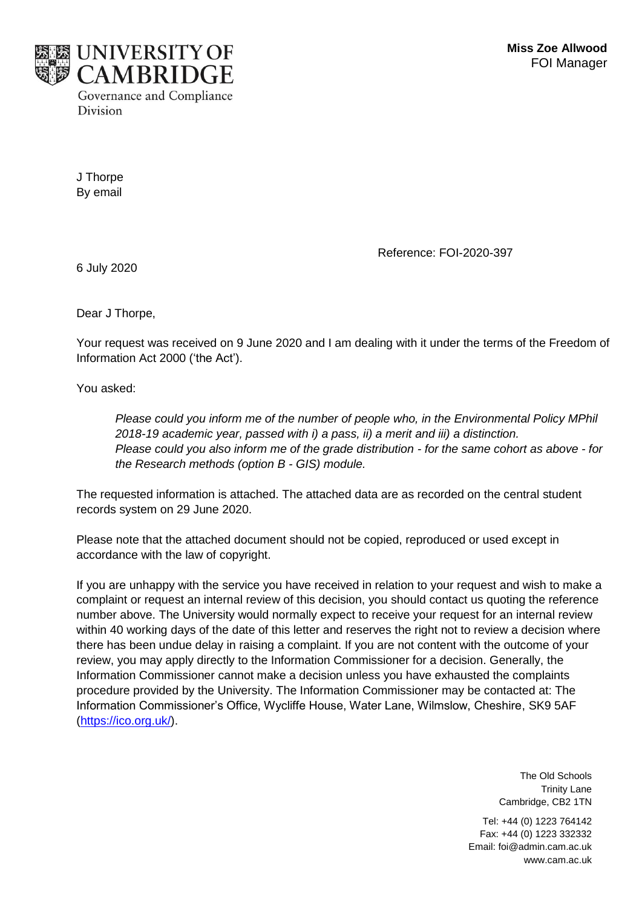

J Thorpe By email

Reference: FOI-2020-397

6 July 2020

Dear J Thorpe,

Your request was received on 9 June 2020 and I am dealing with it under the terms of the Freedom of Information Act 2000 ('the Act').

You asked:

*Please could you inform me of the number of people who, in the Environmental Policy MPhil 2018-19 academic year, passed with i) a pass, ii) a merit and iii) a distinction. Please could you also inform me of the grade distribution - for the same cohort as above - for the Research methods (option B - GIS) module.*

The requested information is attached. The attached data are as recorded on the central student records system on 29 June 2020.

Please note that the attached document should not be copied, reproduced or used except in accordance with the law of copyright.

If you are unhappy with the service you have received in relation to your request and wish to make a complaint or request an internal review of this decision, you should contact us quoting the reference number above. The University would normally expect to receive your request for an internal review within 40 working days of the date of this letter and reserves the right not to review a decision where there has been undue delay in raising a complaint. If you are not content with the outcome of your review, you may apply directly to the Information Commissioner for a decision. Generally, the Information Commissioner cannot make a decision unless you have exhausted the complaints procedure provided by the University. The Information Commissioner may be contacted at: The Information Commissioner's Office, Wycliffe House, Water Lane, Wilmslow, Cheshire, SK9 5AF [\(https://ico.org.uk/\)](https://ico.org.uk/).

> The Old Schools Trinity Lane Cambridge, CB2 1TN

Tel: +44 (0) 1223 764142 Fax: +44 (0) 1223 332332 Email: foi@admin.cam.ac.uk www.cam.ac.uk